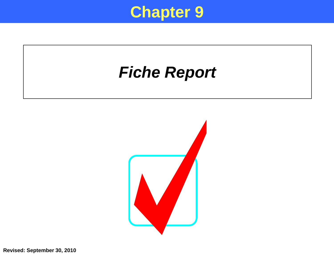

## *Fiche Report*



**Revised: September 30, 2010**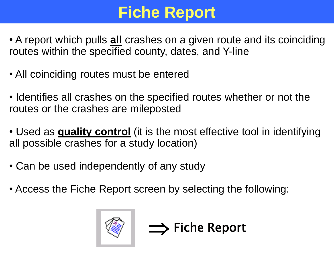# **Fiche Report**

- A report which pulls **all** crashes on a given route and its coinciding routes within the specified county, dates, and Y-line
- All coinciding routes must be entered
- Identifies all crashes on the specified routes whether or not the routes or the crashes are mileposted
- Used as **quality control** (it is the most effective tool in identifying all possible crashes for a study location)

 $\implies$  Fiche Report

- Can be used independently of any study
- Access the Fiche Report screen by selecting the following:

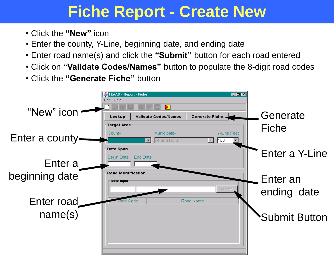## **Fiche Report - Create New**

- Click the **"New"** icon
- Enter the county, Y-Line, beginning date, and ending date
- Enter road name(s) and click the **"Submit"** button for each road entered
- Click on **"Validate Codes/Names"** button to populate the 8-digit road codes
- Click the **"Generate Fiche"** button

|                 | $\Box$ o $\boxtimes$<br>TEAAS - Report - Fiche                                                                            |                |
|-----------------|---------------------------------------------------------------------------------------------------------------------------|----------------|
| "New" icon      | Edit Help<br>$\bullet$                                                                                                    |                |
|                 | <b>Generate Fiche</b><br>Lookup<br><b>Validate Codes/Names</b><br>Target Area                                             | Generate       |
| Enter a county- | Y-Line Feet<br>Municipality<br>County<br>All and Rural<br>150<br>$\vert \hspace{0.1cm} \vert$<br>$\overline{\phantom{a}}$ | Fiche          |
|                 | Date Span                                                                                                                 | Enter a Y-Line |
| Enter a         | Begin Date<br>End Date                                                                                                    |                |
| beginning date  | Road Identification<br>-Table Input-                                                                                      | Enter an       |
|                 | Submit                                                                                                                    | ending date    |
| Enter road      | Road Name<br>Road Code                                                                                                    |                |
| name(s)         |                                                                                                                           | Submit Button  |
|                 |                                                                                                                           |                |
|                 |                                                                                                                           |                |
|                 |                                                                                                                           |                |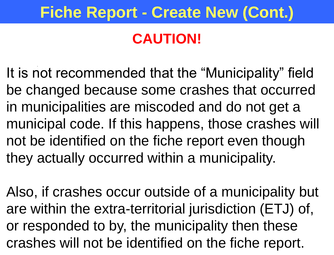## **Fiche Report - Create New (Cont.)**

#### **CAUTION!**

It is not recommended that the "Municipality" field be changed because some crashes that occurred in municipalities are miscoded and do not get a municipal code. If this happens, those crashes will not be identified on the fiche report even though they actually occurred within a municipality.

Also, if crashes occur outside of a municipality but are within the extra-territorial jurisdiction (ETJ) of, or responded to by, the municipality then these crashes will not be identified on the fiche report.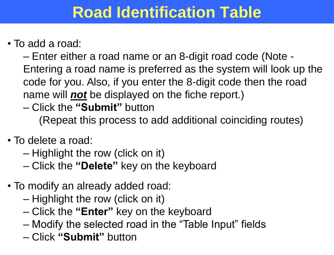## **Road Identification Table**

#### • To add a road:

– Enter either a road name or an 8-digit road code (Note - Entering a road name is preferred as the system will look up the . code for you. Also, if you enter the 8-digit code then the road name will *not* be displayed on the fiche report.)

– Click the **"Submit"** button

(Repeat this process to add additional coinciding routes)

- To delete a road:
	- Highlight the row (click on it)
	- Click the **"Delete"** key on the keyboard
- To modify an already added road:
	- Highlight the row (click on it)
	- Click the **"Enter"** key on the keyboard
	- Modify the selected road in the "Table Input" fields
	- Click **"Submit"** button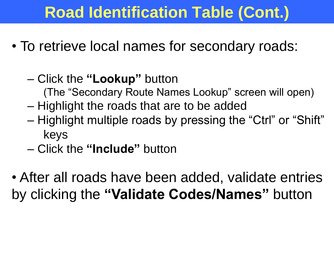# **Road Identification Table (Cont.)**

- To retrieve local names for secondary roads:
	- Click the **"Lookup"** button (The "Secondary Route Names Lookup" screen will open) – Highlight the roads that are to be added – Highlight multiple roads by pressing the "Ctrl" or "Shift" keys
	- Click the **"Include"** button
- After all roads have been added, validate entries by clicking the **"Validate Codes/Names"** button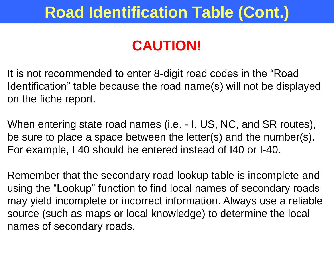# **Road Identification Table (Cont.)**

## **CAUTION!**

It is not recommended to enter 8-digit road codes in the "Road Identification" table because the road name(s) will not be displayed on the fiche report.

.

When entering state road names (i.e. - I, US, NC, and SR routes), be sure to place a space between the letter(s) and the number(s). For example, I 40 should be entered instead of I40 or I-40.

Remember that the secondary road lookup table is incomplete and using the "Lookup" function to find local names of secondary roads may yield incomplete or incorrect information. Always use a reliable source (such as maps or local knowledge) to determine the local names of secondary roads.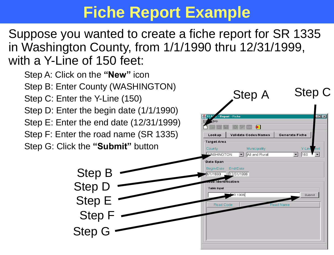## **Fiche Report Example**

Suppose you wanted to create a fiche report for SR 1335 in Washington County, from 1/1/1990 thru 12/31/1999, with a Y-Line of 150 feet:

Step A: Click on the **"New"** icon Step B: Enter County (WASHINGTON) Step C: Enter the Y-Line (150) Step D: Enter the begin date (1/1/1990) Step E: Enter the end date (12/31/1999) Step F: Enter the road name (SR 1335)



**Report - Fiche** 

Validate Codes/Names

Lookup

Step A Step C

Generate Fiche

 $\Box$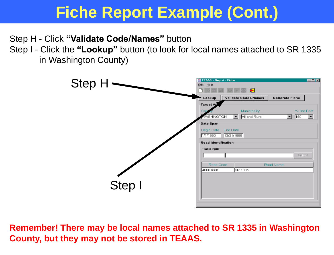Step H - Click **"Validate Code/Names"** button

Step I - Click the **"Lookup"** button (to look for local names attached to SR 1335 in Washington County)



**Remember! There may be local names attached to SR 1335 in Washington County, but they may not be stored in TEAAS.**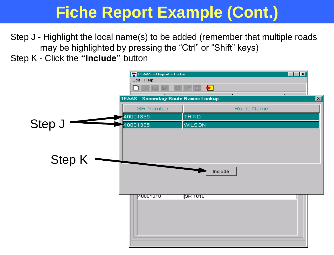Step J - Highlight the local name(s) to be added (remember that multiple roads may be highlighted by pressing the "Ctrl" or "Shift" keys)

Step K - Click the **"Include"** button

|        | TEAAS - Report - Fiche<br>Edit Help  | $\bigstar$<br>터미          | 口回凶             |
|--------|--------------------------------------|---------------------------|-----------------|
|        | TEAAS - Secondary Route Names Lookup |                           | $\vert x \vert$ |
|        | <b>SR Number</b>                     | Route Name                |                 |
|        | 40001335                             | THIRD                     |                 |
| Step J | 40001335                             | <b>WILSON</b>             |                 |
| Step K | 40001010                             | Include<br><b>SR 1010</b> |                 |
|        |                                      |                           |                 |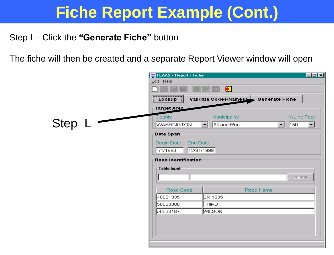#### Step L - Click the **"Generate Fiche"** button

The fiche will then be created and a separate Report Viewer window will open

|            | $\Box$ o $\boxtimes$<br>TEAAS - Report - Fiche                                                                        |
|------------|-----------------------------------------------------------------------------------------------------------------------|
|            | Edit Help                                                                                                             |
|            | $\bigstar$                                                                                                            |
|            | Validate Codes/Names Cenerate Fiche<br>Lookup                                                                         |
|            | Target Area                                                                                                           |
|            | Municipality<br>Y-Line Feet<br>County                                                                                 |
| Step $L -$ | <b>WASHINGTON</b><br>All and Rural<br>$\sqrt{150}$<br>$\vert \mathbf{r} \vert$<br>$\mathbf{r}$<br>$\vert \cdot \vert$ |
|            | Date Span-                                                                                                            |
|            | Begin Date<br><b>End Date</b>                                                                                         |
|            | 1/1/1990<br>12/31/1999                                                                                                |
|            | Road Identification                                                                                                   |
|            | Table Input                                                                                                           |
|            | Submit                                                                                                                |
|            |                                                                                                                       |
|            | Road Code<br>Road Name                                                                                                |
|            | 40001335<br>SR 1335                                                                                                   |
|            | THIRD.<br>50030308                                                                                                    |
|            | 50033187<br>MILSON.                                                                                                   |
|            |                                                                                                                       |
|            |                                                                                                                       |
|            |                                                                                                                       |
|            |                                                                                                                       |
|            |                                                                                                                       |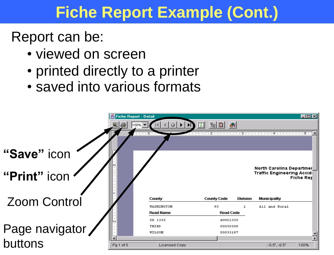Report can be:

- viewed on screen
- printed directly to a printer
- saved into various formats

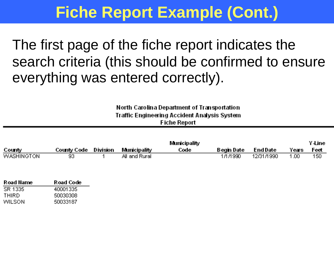The first page of the fiche report indicates the search criteria (this should be confirmed to ensure everything was entered correctly).

#### North Carolina Department of Transportation **Traffic Engineering Accident Analysis System Fiche Report**

|                   |               |          |                     | <b>Municipality</b> |            |                 |       | ⊻-⊔ne |
|-------------------|---------------|----------|---------------------|---------------------|------------|-----------------|-------|-------|
| County            | County Code - | Division | <b>Municipality</b> | Code                | Begin Date | <b>End Date</b> | Years | Feet  |
| <b>WASHINGTON</b> | 93            |          | All and Rural I     |                     | 1/1/1990   | 12/31/1990      | .00   | 150   |

| Road Name | <b>Road Code</b> |
|-----------|------------------|
| SR 1335   | 40001335         |
| THIRD     | 50030308         |
| WILSON    | 50033187         |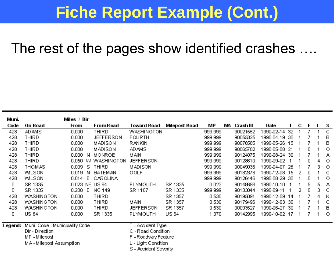#### The rest of the pages show identified crashes ….

| Muni.   |                                | Miles / Dir    |                  |                       |               |         |    |          |               |     |   |   |   |         |
|---------|--------------------------------|----------------|------------------|-----------------------|---------------|---------|----|----------|---------------|-----|---|---|---|---------|
| Code    | On Road                        | From           | FromRoad         | Toward Road           | Milepost Road | MР      | WА | Crash ID | Date          | т   | с | F |   | s       |
| 428     | AD AMS                         | 0.000          | THIRD            | WASHINGTON            |               | 999.999 |    | 90021552 | 1990-02-14    | 32  |   | 7 |   | с       |
| 428     | THIRD                          | 0.000          | <b>JEFFERSON</b> | <b>FOURTH</b>         |               | 999.999 |    | 90055325 | 1990-04-19 30 |     |   |   |   | в       |
| 428     | THIRD                          | 0.000          | <b>MADISON</b>   | RANKIN                |               | 999.999 |    | 90076585 | 1990-05-26 15 |     |   |   |   | B       |
| 428     | THIRD                          | 0.000          | <b>MADISON</b>   | AD AMS                |               | 999.999 |    | 90065782 | 1990-05-08    | -21 |   | 0 |   | $\circ$ |
| 428     | THIRD                          | 0.000<br>N     | <b>MONROE</b>    | MAN                   |               | 999.999 |    | 90124075 | 1990-08-24 30 |     |   | 7 |   | А       |
| 428     | THIRD                          | 0.050          | W WASHINGTON     | <b>JEFFERSON</b>      |               | 999.999 |    | 90128610 | 1990-09-02    | 1   |   | 0 | 4 | $\circ$ |
| 428     | THOMAS                         | 0.009<br>-S.   | <b>THIRD</b>     | <b>MADISON</b>        |               | 999.999 |    | 90049036 | 1990-04-07    | -26 |   | 7 | 3 | $\circ$ |
| 428     | <b>WILSON</b>                  | 0.019<br>N.    | <b>BATEMAN</b>   | GOLF                  |               | 999.999 |    | 90182378 | 1990-12-08 15 |     | 2 | 0 |   | C       |
| 428     | <b>WILSON</b>                  | E<br>0.014     | CAROLINA         |                       |               | 999.999 |    | 90126446 | 1990-08-29    | -30 |   | 0 |   | $\circ$ |
| 0       | SR 1335                        | 0.023 NE US 64 |                  | PLYMOUTH              | SR 1335       | 0.023   |    | 90148698 | 1990-10-10    | 1   |   | 5 | 5 | А       |
| 0       | SR 1335                        | 0.200 E        | <b>NC 149</b>    | SR 1107               | SR 1335       | 999.999 |    | 90133044 | 1990-09-11    |     | 2 | 0 | 3 | -C      |
| 428     | <b><i>WASHINGTON</i></b>       | 0.000          | THIRD            |                       | SR 1357       | 0.530   |    | 90195091 | 1990-12-09    | -14 |   | 7 | 4 | К       |
| 428     | <b>WASHINGTON</b>              | 0.000          | <b>THIRD</b>     | MAN                   | SR 1357       | 0.530   |    | 90179496 | 1990-12-03    | -30 |   | 7 |   | C       |
| 428     | <b><i>WASHINGTON</i></b>       | 0.000          | THIRD            | <b>JEFFERSON</b>      | SR 1357       | 0.530   |    | 90093527 | 1990-06-27    | -30 |   |   |   | в       |
| 0       | US 64                          | 0.000          | SR 1335          | PLYMOUTH              | US 64         | 1.370   |    | 90142995 | 1990-10-02 17 |     |   |   |   | $\circ$ |
|         |                                |                |                  |                       |               |         |    |          |               |     |   |   |   |         |
| Legend: | Muni. Code - Municipality Code |                |                  | T - Accident Type     |               |         |    |          |               |     |   |   |   |         |
|         | Dir - Direction                |                |                  | C - Road Condition    |               |         |    |          |               |     |   |   |   |         |
|         | MP-Milepost                    |                |                  | F-Roadway Feature     |               |         |    |          |               |     |   |   |   |         |
|         | MA-Milepost Assumption         |                |                  | L - Light Condition   |               |         |    |          |               |     |   |   |   |         |
|         |                                |                |                  | S - Accident Severity |               |         |    |          |               |     |   |   |   |         |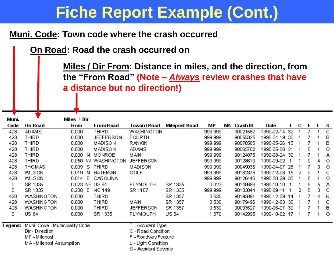#### **Muni. Code: Town code where the crash occurred**

**On Road: Road the crash occurred on**

**Miles / Dir From: Distance in miles, and the direction, from the "From Road" (Note –** *Always* **review crashes that have a distance but no direction!)**

| Muni.   |                                | Miles / Dir |    |                    |                       |               |         |             |               |     |   |   |   |         |
|---------|--------------------------------|-------------|----|--------------------|-----------------------|---------------|---------|-------------|---------------|-----|---|---|---|---------|
| Code    | On Road                        | From        |    | FromRoad           | Toward Road           | Milepost Road | МP      | MA Crash ID | Date          | Τ   | с | F | L | s       |
| 428     | AD AMS                         | 0.000       |    | THIRD              | WASHINGTON            |               | 999.999 | 90021552    | 1990-02-14    | -32 |   |   |   | C       |
| 428     | THIRD                          | 0.000       |    | <b>JEFFERSON</b>   | <b>FOURTH</b>         |               | 999.999 | 90055325    | 1990-04-19 30 |     |   |   |   | в       |
| 428     | THIRD                          | 0.000       |    | <b>MADISON</b>     | RANKIN                |               | 999.999 | 90076585    | 1990-05-26 15 |     |   |   |   | в       |
| 428     | THIRD                          | 0.000       |    | <b>MADISON</b>     | AD AMS                |               | 999.999 | 90065782    | 1990-05-08    | -21 |   | 0 |   | $\circ$ |
| 428     | THIRD                          | 0.000 N     |    | <b>MONROE</b>      | MAN                   |               | 999.999 | 90124075    | 1990-08-24 30 |     |   |   |   | А       |
| 428     | THIRD                          |             |    | 0.050 W WASHINGTON | <b>JEFFERSON</b>      |               | 999.999 | 90128610    | 1990-09-02    |     |   | 0 | 4 | $\circ$ |
| 428     | THOMAS.                        | 0.009       | -S | <b>THIRD</b>       | <b>MADISON</b>        |               | 999.999 | 90049036    | 1990-04-07    | -26 |   |   | з | $\circ$ |
| 428     | WILSON                         | 0.019       | N  | <b>BATEMAN</b>     | GOLF                  |               | 999.999 | 90182378    | 1990-12-08 15 |     | 2 | 0 |   | C       |
| 428     | <b>WILSON</b>                  | 0.014       | E  | CAROLINA           |                       |               | 999.999 | 90126446    | 1990-08-29    | -30 |   | 0 |   | $\circ$ |
| 0       | SR 1335                        |             |    | 0.023 NE US 64     | PLYMOUTH              | SR 1335       | 0.023   | 90148698    | 1990-10-10    | -1  |   | 5 | 5 | А       |
| 0       | SR 1335                        | 0.200 E     |    | <b>NC 149</b>      | SR 1107               | SR 1335       | 999.999 | 90133044    | 1990-09-11    |     | 2 | 0 | з | C       |
| 428     | WASHINGTON                     | 0.000       |    | THIRD              |                       | SR 1357       | 0.530   | 90195091    | 1990-12-09    | -14 |   |   | 4 | к       |
| 428     | WASHINGTON                     | 0.000       |    | THIRD              | MAN                   | SR 1357       | 0.530   | 90179496    | 1990-12-03    | -30 |   |   |   | C       |
| 428     | WASHINGTON                     | 0.000       |    | THIRD              | <b>JEFFERSON</b>      | SR 1357       | 0.530   | 90093527    | 1990-06-27    | -30 |   |   |   | B       |
| 0       | <b>US 64</b>                   | 0.000       |    | SR 1335            | PLYMOUTH              | <b>US 64</b>  | 1.370   | 90142995    | 1990-10-02 17 |     |   |   | 1 | $\circ$ |
| Legend: | Muni. Code - Municipality Code |             |    |                    | - Accident Type       |               |         |             |               |     |   |   |   |         |
|         | Dir - Direction                |             |    |                    | C - Road Condition    |               |         |             |               |     |   |   |   |         |
|         | MP - Milepost                  |             |    |                    | F - Roadway Feature   |               |         |             |               |     |   |   |   |         |
|         | MA-Milepost Assumption         |             |    |                    | L - Light Condition   |               |         |             |               |     |   |   |   |         |
|         |                                |             |    |                    | S - Accident Severity |               |         |             |               |     |   |   |   |         |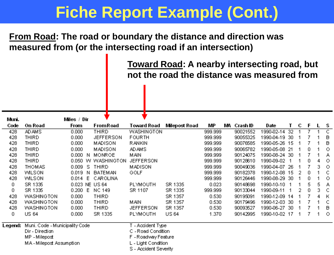**From Road: The road or boundary the distance and direction was measured from (or the intersecting road if an intersection)**

> **Toward Road: A nearby intersecting road, but not the road the distance was measured from**

| Muni.   |                                | Miles / Dir |    |                    |                       |               |         |    |          |               |     |   |    |    |         |
|---------|--------------------------------|-------------|----|--------------------|-----------------------|---------------|---------|----|----------|---------------|-----|---|----|----|---------|
| Code    | On Road                        | From        |    | From Road          | Toward Road           | Milepost Road | MР      | МA | Crash ID | Date          | Τ   | С | F  |    | s       |
| 428     | <b>AD AMS</b>                  | 0.000       |    | THIRD              | WASHINGTON            |               | 999.999 |    | 90021552 | 1990-02-14    | -32 |   |    |    | C       |
| 428     | THIRD                          | 0.000       |    | <b>JEFFERSON</b>   | <b>FOURTH</b>         |               | 999.999 |    | 90055325 | 1990-04-19    | -30 |   |    |    | в       |
| 428     | THIRD                          | 0.000       |    | <b>MADISON</b>     | RANKIN                |               | 999.999 |    | 90076585 | 1990-05-26 15 |     |   |    |    | в       |
| 428     | THIRD                          | 0.000       |    | <b>MADISON</b>     | AD AMS.               |               | 999.999 |    | 90065782 | 1990-05-08    | -21 |   | 0  |    | $\circ$ |
| 428     | THIRD                          | 0.000 N     |    | <b>MONROE</b>      | MAN                   |               | 999.999 |    | 90124075 | 1990-08-24 30 |     |   |    |    | А       |
| 428     | THIRD                          |             |    | 0.050 W WASHINGTON | <b>JEFFERSON</b>      |               | 999.999 |    | 90128610 | 1990-09-02    |     |   | 0. |    | $\circ$ |
| 428     | <b>THOMAS</b>                  | 0.009       | -S | <b>THIRD</b>       | MADISON               |               | 999.999 |    | 90049036 | 1990-04-07    | 26  |   |    | 3  | $\circ$ |
| 428     | <b>WILSON</b>                  | 0.019       | -N | <b>BATEMAN</b>     | GOLF                  |               | 999.999 |    | 90182378 | 1990-12-08 15 |     | 2 | 0  |    | C.      |
| 428     | WILSON                         | 0.014       | E  | CAROLINA           |                       |               | 999.999 |    | 90126446 | 1990-08-29    | -30 |   | 0  |    | $\circ$ |
| 0       | SR 1335                        |             |    | 0.023 NE US 64     | PLYMOUTH              | SR 1335       | 0.023   |    | 90148698 | 1990-10-10    |     |   | 5  | 5  | А       |
| 0       | SR 1335                        | 0.200 E     |    | NC 149             | SR 1107               | SR 1335       | 999.999 |    | 90133044 | 1990-09-11    |     | 2 | 0  | з. | C       |
| 428     | <b><i>WASHINGTON</i></b>       | 0.000       |    | THIRD              |                       | SR 1357       | 0.530   |    | 90195091 | 1990-12-09    | -14 |   |    | 4  | К       |
| 428     | <b>WASHINGTON</b>              | 0.000       |    | THIRD              | MAN                   | SR 1357       | 0.530   |    | 90179496 | 1990-12-03    | -30 |   |    |    | C.      |
| 428     | WASHINGTON                     | 0.000       |    | THIRD              | <b>JEFFERSON</b>      | SR 1357       | 0.530   |    | 90093527 | 1990-06-27    | -30 |   |    |    | B       |
| 0       | US 64                          | 0.000       |    | SR 1335            | PLYMOUTH              | US 64         | 1.370   |    | 90142995 | 1990-10-02 17 |     |   |    |    | $\circ$ |
|         |                                |             |    |                    |                       |               |         |    |          |               |     |   |    |    |         |
| Legend: | Muni. Code - Municipality Code |             |    |                    | T - Accident Type     |               |         |    |          |               |     |   |    |    |         |
|         | Dir - Direction                |             |    |                    | C - Road Condition    |               |         |    |          |               |     |   |    |    |         |
|         | MP - Milepost                  |             |    |                    | F - Roadway Feature   |               |         |    |          |               |     |   |    |    |         |
|         | MA-Milepost Assumption         |             |    |                    | L - Light Condition   |               |         |    |          |               |     |   |    |    |         |
|         |                                |             |    |                    | S - Accident Severity |               |         |    |          |               |     |   |    |    |         |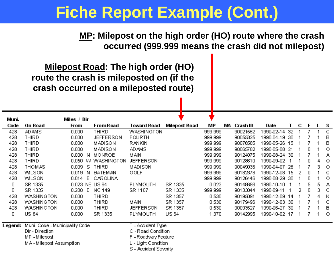**MP: Milepost on the high order (HO) route where the crash occurred (999.999 means the crash did not milepost)**

**Milepost Road: The high order (HO) route the crash is mileposted on (if the crash occurred on a mileposted route)**

| Muni.   |                                | Miles / Dir    |                    |                       |               |         |                |               |     |   |    |   |         |
|---------|--------------------------------|----------------|--------------------|-----------------------|---------------|---------|----------------|---------------|-----|---|----|---|---------|
| Code    | On Road                        | From           | FromRoad           | Toward Road           | Milepost Road | MР      | MА<br>Crash ID | Date          |     | С | -F |   | - S     |
| 428     | AD AMS                         | 0.000          | THIRD              | WASHINGTON            |               | 999.999 | 90021552       | 1990-02-14    | -32 |   |    |   | С       |
| 428     | THIRD                          | 0.000          | <b>JEFFERSON</b>   | <b>FOURTH</b>         |               | 999.999 | 90055325       | 1990-04-19 30 |     |   |    |   | Β       |
| 428     | THIRD                          | 0.000          | <b>MADISON</b>     | RANKIN                |               | 999.999 | 90076585       | 1990-05-26 15 |     |   |    |   | B       |
| 428     | THIRD                          | 0.000          | <b>MADISON</b>     | AD AMS                |               | 999.999 | 90065782       | 1990-05-08 21 |     |   | 0. |   | О       |
| 428     | THIRD                          | 0.000 N        | <b>MONROE</b>      | MAN                   |               | 999.999 | 90124075       | 1990-08-24 30 |     |   |    |   | А       |
| 428     | THIRD                          |                | 0.050 W WASHINGTON | <b>JEFFERSON</b>      |               | 999.999 | 90128610       | 1990-09-02    |     |   | 0. | 4 | $\circ$ |
| 428     | THOMAS                         | 0.009<br>-S.   | THIRD              | <b>MADISON</b>        |               | 999.999 | 90049036       | 1990-04-07 26 |     |   |    | 3 | $\circ$ |
| 428     | <b>WILSON</b>                  | 0.019<br>-N    | <b>BATEMAN</b>     | GOLF                  |               | 999.999 | 90182378       | 1990-12-08 15 |     | 2 | 0. |   | C       |
| 428     | <b>WILSON</b>                  | $0.014$ E      | CAROLINA           |                       |               | 999.999 | 90126446       | 1990-08-29 30 |     |   | 0. |   | О       |
| 0       | SR 1335                        | 0.023 NE US 64 |                    | PLYMOUTH              | SR 1335       | 0.023   | 90148698       | 1990-10-10    | -1  |   | 5. | 5 | А       |
| 0       | SR 1335                        | 0.200 E        | <b>NC 149</b>      | SR 1107               | SR 1335       | 999.999 | 90133044       | 1990-09-11    |     | 2 | 0  | 3 | C       |
| 428     | <b><i>WASHINGTON</i></b>       | 0.000          | THIRD              |                       | SR 1357       | 0.530   | 90195091       | 1990-12-09 14 |     |   |    | 4 | К       |
| 428     | <b><i>WASHINGTON</i></b>       | 0.000          | THIRD              | MAN                   | SR 1357       | 0.530   | 90179496       | 1990-12-03 30 |     |   |    |   | C       |
| 428     | <b>WASHINGTON</b>              | 0.000          | THIRD              | <b>JEFFERSON</b>      | SR 1357       | 0.530   | 90093527       | 1990-06-27 30 |     |   |    |   | в       |
| 0.      | US 64                          | 0.000          | SR 1335            | PLYMOUTH              | <b>US 64</b>  | 1.370   | 90142995       | 1990-10-02 17 |     |   |    |   | - 0     |
| Legend: | Muni. Code - Municipality Code |                |                    | T - Accident Type     |               |         |                |               |     |   |    |   |         |
|         | Dir - Direction                |                |                    | C - Road Condition    |               |         |                |               |     |   |    |   |         |
|         | MP - Milepost                  |                |                    | F-Roadway Feature     |               |         |                |               |     |   |    |   |         |
|         | MA-Milepost Assumption         |                |                    | L - Light Condition   |               |         |                |               |     |   |    |   |         |
|         |                                |                |                    | S - Accident Severity |               |         |                |               |     |   |    |   |         |
|         |                                |                |                    |                       |               |         |                |               |     |   |    |   |         |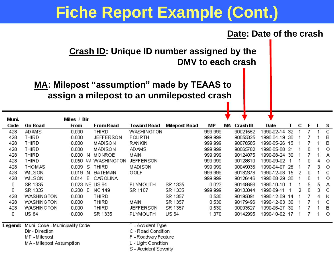

**Crash ID: Unique ID number assigned by the DMV to each crash**

#### **MA: Milepost "assumption" made by TEAAS to assign a milepost to an unmileposted crash**

| Muni.   |                                | Miles / Dir |                    |                       |               |         |    |          |               |     |   |    |    |              |
|---------|--------------------------------|-------------|--------------------|-----------------------|---------------|---------|----|----------|---------------|-----|---|----|----|--------------|
| Code    | On Road                        | From        | From Road          | Toward Road           | Milepost Road | МP      | MА | Crash ID | Date          | т   | с | .F |    | s            |
| 428     | <b>AD AMS</b>                  | 0.000       | THIRD              | WASHINGTON            |               | 999.999 |    | 90021552 | 1990-02-14    | 32  |   |    |    | $\mathsf{C}$ |
| 428     | THIRD                          | 0.000       | <b>JEFFERSON</b>   | <b>FOURTH</b>         |               | 999.999 |    | 90055325 | 1990-04-19 30 |     |   |    |    | в            |
| 428     | THIRD                          | 0.000       | <b>MADISON</b>     | RANKIN                |               | 999.999 |    | 90076585 | 1990-05-26 15 |     |   |    |    | B            |
| 428     | THIRD                          | 0.000       | <b>MADISON</b>     | AD AMS.               |               | 999.999 |    | 90065782 | 1990-05-08    | -21 |   | 0. |    | $\circ$      |
| 428     | THIRD                          | 0.000 N     | <b>MONROE</b>      | MAN                   |               | 999.999 |    | 90124075 | 1990-08-24 30 |     |   |    |    | А            |
| 428     | THIRD                          |             | 0.050 W WASHINGTON | <b>JEFFERSON</b>      |               | 999.999 |    | 90128610 | 1990-09-02    |     |   | 0  |    | $\circ$      |
| 428     | <b>THOMAS</b>                  | 0.009 S     | THIRD              | MADISON               |               | 999.999 |    | 90049036 | 1990-04-07    | -26 |   |    | з. | $\circ$      |
| 428     | WILSON                         | 0.019<br>N. | <b>BATEMAN</b>     | GOLF                  |               | 999.999 |    | 90182378 | 1990-12-08 15 |     | 2 | 0. |    | -C           |
| 428     | <b>WILSON</b>                  | E<br>0.014  | CAROLINA           |                       |               | 999.999 |    | 90126446 | 1990-08-29    | -30 |   | 0  |    | $\circ$      |
| 0       | SR 1335                        |             | 0.023 NE US 64     | <b>PLYMOUTH</b>       | SR 1335       | 0.023   |    | 90148698 | 1990-10-10    |     |   | 5  | 5. | А            |
| 0       | SR 1335                        | 0.200 E     | <b>NC 149</b>      | SR 1107               | SR 1335       | 999.999 |    | 90133044 | 1990-09-11    |     | 2 | 0. | 3. | C            |
| 428     | WASHINGTON                     | 0.000       | THIRD              |                       | SR 1357       | 0.530   |    | 90195091 | 1990-12-09 14 |     |   |    | 4  | К            |
| 428     | <b>WASHINGTON</b>              | 0.000       | THIRD              | MAN                   | SR 1357       | 0.530   |    | 90179496 | 1990-12-03 30 |     |   |    |    | C.           |
| 428     | <b><i>WASHINGTON</i></b>       | 0.000       | THIRD              | <b>JEFFERSON</b>      | SR 1357       | 0.530   |    | 90093527 | 1990-06-27 30 |     |   |    |    | B            |
| 0       | US 64                          | 0.000       | SR 1335            | PLYMOUTH              | <b>US 64</b>  | 1.370   |    | 90142995 | 1990-10-02 17 |     |   |    |    | $\circ$      |
| Legend: | Muni. Code - Municipality Code |             |                    | T - Accident Type     |               |         |    |          |               |     |   |    |    |              |
|         | Dir - Direction                |             |                    | C - Road Condition    |               |         |    |          |               |     |   |    |    |              |
|         | MP - Milepost                  |             |                    | F-Roadway Feature     |               |         |    |          |               |     |   |    |    |              |
|         | MA-Milepost Assumption         |             |                    | L - Light Condition   |               |         |    |          |               |     |   |    |    |              |
|         |                                |             |                    | S - Accident Severity |               |         |    |          |               |     |   |    |    |              |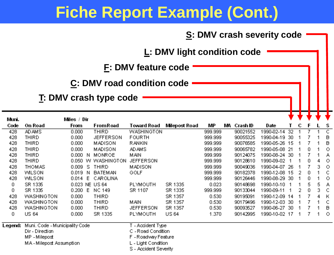|            |                                                                                                |                |                                   |                                                                                                              |                                    |                    | <b>S: DMV crash severity code</b> |                    |                      |   |   |   |         |
|------------|------------------------------------------------------------------------------------------------|----------------|-----------------------------------|--------------------------------------------------------------------------------------------------------------|------------------------------------|--------------------|-----------------------------------|--------------------|----------------------|---|---|---|---------|
|            |                                                                                                |                |                                   |                                                                                                              | <b>L: DMV light condition code</b> |                    |                                   |                    |                      |   |   |   |         |
|            |                                                                                                |                |                                   | <b>F: DMV feature code</b>                                                                                   |                                    |                    |                                   |                    |                      |   |   |   |         |
|            |                                                                                                |                | <b>C: DMV road condition code</b> |                                                                                                              |                                    |                    |                                   |                    |                      |   |   |   |         |
|            |                                                                                                |                | T: DMV crash type code            |                                                                                                              |                                    |                    |                                   |                    |                      |   |   |   |         |
| Muni.      |                                                                                                | Miles / Dir    |                                   |                                                                                                              |                                    |                    |                                   |                    |                      |   |   |   |         |
| Code       | On Road                                                                                        | From           | FromRoad                          | <b>Toward Road</b>                                                                                           | Milepost Road                      | МP                 | MA Crash ID                       | Date<br>1990-02-14 | т<br>$\overline{32}$ | с | F |   | s<br>ट  |
| 428<br>428 | <b>AD AMS</b><br><b>THIRD</b>                                                                  | 0.000<br>0.000 | <b>THIRD</b><br><b>JEFFERSON</b>  | <b>WASHINGTON</b><br><b>FOURTH</b>                                                                           |                                    | 999.999<br>999.999 | 90021552<br>90055325              | 1990-04-19 30      |                      |   | 7 |   | в       |
| 428        | <b>THIRD</b>                                                                                   | 0.000          | <b>MADISON</b>                    | RANKIN                                                                                                       |                                    | 999.999            | 90076585                          | 1990-05-26 15      |                      |   | 7 |   | B       |
| 428        | <b>THIRD</b>                                                                                   | 0.000          | <b>MADISON</b>                    | <b>AD AMS</b>                                                                                                |                                    | 999.999            | 90065782                          | 1990-05-08 21      |                      |   | 0 | 1 | O       |
| 428        | <b>THIRD</b>                                                                                   |                | 0.000 N MONROE                    | MAN                                                                                                          |                                    | 999.999            | 90124075                          | 1990-08-24 30      |                      |   | 7 | 1 | А       |
| 428        | <b>THIRD</b>                                                                                   |                | 0.050 W WASHINGTON                | <b>JEFFERSON</b>                                                                                             |                                    | 999.999            | 90128610                          | 1990-09-02         | -1                   |   | 0 | 4 | $\circ$ |
| 428        | <b>THOMAS</b>                                                                                  | 0.009 S THIRD  |                                   | <b>MADISON</b>                                                                                               |                                    | 999.999            | 90049036                          | 1990-04-07 26      |                      |   | 7 | 3 | $\circ$ |
| 428        | <b>WILSON</b>                                                                                  |                | 0.019 N BATEMAN                   | GOLF                                                                                                         |                                    | 999.999            | 90182378                          | 1990-12-08 15      |                      | 2 | 0 | 1 | C       |
| 428        | <b>WILSON</b>                                                                                  |                | 0.014 E CAROLINA                  |                                                                                                              |                                    | 999.999            | 90126446                          | 1990-08-29 30      |                      |   | 0 | 1 | $\circ$ |
| 0          | SR 1335                                                                                        | 0.023 NE US 64 |                                   | PLYMOUTH                                                                                                     | SR 1335                            | 0.023              | 90148698                          | 1990-10-10 1       |                      |   | 5 | 5 | А       |
| 0          | SR 1335                                                                                        | 0.200 E NC 149 |                                   | SR 1107                                                                                                      | SR 1335                            | 999.999            | 90133044                          | 1990-09-11         | 1                    | 2 | 0 | 3 | C       |
| 428        | WASHINGTON                                                                                     | 0.000          | THIRD                             |                                                                                                              | SR 1357                            | 0.530              | 90195091                          | 1990-12-09 14      |                      |   | 7 | 4 | к       |
| 428        | <b>WASHINGTON</b>                                                                              | 0.000          | <b>THIRD</b>                      | MAN                                                                                                          | SR 1357                            | 0.530              | 90179496                          | 1990-12-03 30      |                      |   | 7 | 1 | C       |
| 428        | WASHINGTON                                                                                     | 0.000          | THIRD                             | <b>JEFFERSON</b>                                                                                             | SR 1357                            | 0.530              | 90093527                          | 1990-06-27 30      |                      |   | 7 | 1 | в       |
| 0          | <b>US 64</b>                                                                                   | 0.000          | SR 1335                           | PLYMOUTH                                                                                                     | <b>US 64</b>                       | 1.370              | 90142995                          | 1990-10-02 17      |                      |   | 7 | 1 | $\circ$ |
| Legend:    | Muni. Code - Municipality Code<br>Dir - Direction<br>MP - Milepost<br>MA - Milepost Assumption |                |                                   | T - Accident Type<br>C - Road Condition<br>F-Roadway Feature<br>L - Light Condition<br>S - Accident Severity |                                    |                    |                                   |                    |                      |   |   |   |         |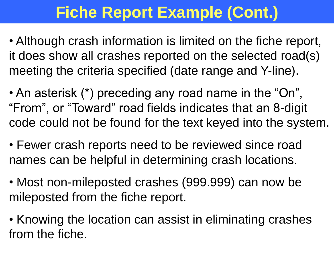- Although crash information is limited on the fiche report, it does show all crashes reported on the selected road(s) meeting the criteria specified (date range and Y-line).
- An asterisk (\*) preceding any road name in the "On", "From", or "Toward" road fields indicates that an 8-digit code could not be found for the text keyed into the system.
- Fewer crash reports need to be reviewed since road names can be helpful in determining crash locations.
- Most non-mileposted crashes (999.999) can now be mileposted from the fiche report.
- Knowing the location can assist in eliminating crashes from the fiche.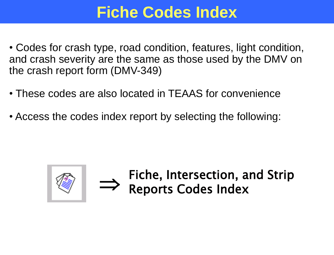## **Fiche Codes Index**

- Codes for crash type, road condition, features, light condition, and crash severity are the same as those used by the DMV on the crash report form (DMV-349)
- These codes are also located in TEAAS for convenience
- Access the codes index report by selecting the following:



Fiche, Intersection, and Strip <br> **Reports Codes Index**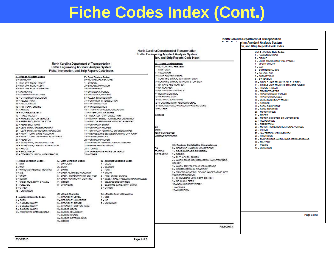## **Fiche Codes Index (Cont.)**

|                                                                                                                                                                                                                                                                                                                                                                                                                                                                                                                                                                                                                                                                                                                                                                                                                                                                                                                                                                                                      |                                                                                                                                                                                                                                                                         |                                                                                                                                                                                                                                                                                                                                                                                           |                                                                                                                                                                                                                                                                                                                                                                                                                                                                                                                                                                                                                                                                    |                                                                                                                                                                                                                                                                                                                           | North Carolina Department of Transportation<br><b>Traffic Engineering Accident Analysis System</b><br>tion, and Strip Reports Code Index                                                                                                                                                                                                                                                                                                                                                                                                                                                                                              | on, and Strip Reports Code Index<br>Unit # - Vehicle Style Codes<br>1 - PASSENGER CAR<br>$2 - PICKUP$<br>3 - LIGHT TRUCK (MINI-VAN, PANEL)                                                                                                                                                                                                                                                                                                                                                                                                                                                                                                 |
|------------------------------------------------------------------------------------------------------------------------------------------------------------------------------------------------------------------------------------------------------------------------------------------------------------------------------------------------------------------------------------------------------------------------------------------------------------------------------------------------------------------------------------------------------------------------------------------------------------------------------------------------------------------------------------------------------------------------------------------------------------------------------------------------------------------------------------------------------------------------------------------------------------------------------------------------------------------------------------------------------|-------------------------------------------------------------------------------------------------------------------------------------------------------------------------------------------------------------------------------------------------------------------------|-------------------------------------------------------------------------------------------------------------------------------------------------------------------------------------------------------------------------------------------------------------------------------------------------------------------------------------------------------------------------------------------|--------------------------------------------------------------------------------------------------------------------------------------------------------------------------------------------------------------------------------------------------------------------------------------------------------------------------------------------------------------------------------------------------------------------------------------------------------------------------------------------------------------------------------------------------------------------------------------------------------------------------------------------------------------------|---------------------------------------------------------------------------------------------------------------------------------------------------------------------------------------------------------------------------------------------------------------------------------------------------------------------------|---------------------------------------------------------------------------------------------------------------------------------------------------------------------------------------------------------------------------------------------------------------------------------------------------------------------------------------------------------------------------------------------------------------------------------------------------------------------------------------------------------------------------------------------------------------------------------------------------------------------------------------|--------------------------------------------------------------------------------------------------------------------------------------------------------------------------------------------------------------------------------------------------------------------------------------------------------------------------------------------------------------------------------------------------------------------------------------------------------------------------------------------------------------------------------------------------------------------------------------------------------------------------------------------|
|                                                                                                                                                                                                                                                                                                                                                                                                                                                                                                                                                                                                                                                                                                                                                                                                                                                                                                                                                                                                      | North Carolina Department of Transportation<br><b>Traffic Engineering Accident Analysis System</b><br>Fiche, Intersection, and Strip Reports Code Index                                                                                                                 |                                                                                                                                                                                                                                                                                                                                                                                           |                                                                                                                                                                                                                                                                                                                                                                                                                                                                                                                                                                                                                                                                    | Dv - Traffic Control Device<br><b>B = NO CONTROL PRESENT</b><br>I - STOP SIGN<br>2 - YIELD SIGN                                                                                                                                                                                                                           |                                                                                                                                                                                                                                                                                                                                                                                                                                                                                                                                                                                                                                       | 4 - SPORT UTILITY<br>$5 - VAM$<br>6 - COMMERCIAL BUS<br>7 - SCHOOL BUS                                                                                                                                                                                                                                                                                                                                                                                                                                                                                                                                                                     |
| T - Type of Acoldent Codes<br>0 - UNKNOWN<br>1 - RAN OFF ROAD - RIGHT<br>2 - RAN OFF ROAD - LEFT<br>3 - RAN OFF ROAD - STRAIGHT<br>4 - JACKKNIFE<br>5 - OVERTURN/ROLLOVER<br>13 - OTHER NON-COLLISION<br>14 - PEDESTRIAN<br>15 - PEDALCYCLIST<br>16 - RR TRAIN, ENGINE<br>17 - ANIMAL<br>18 - MOVABLE OBJECT.<br>19 - FIXED OBJECT<br>20 - PARKED MOTOR VEHICLE<br>21 - REAR END, SLOW OR STOP<br>22 - REAR END, TURN<br>23 - LEFT TURN, SAME ROADWAY<br>24 - LEFT TURN, DIFFERENT ROADWAYS<br>25 - RIGHT TURN, SAME ROADWAY<br>26 - RIGHT TURN, DIFFERENT ROADWAYS<br>27 - HEAD ON<br>28 - SIDESWIPE, SAME DIRECTION<br>29 - SIDESWIPE, OPPOSITE DIRECTION<br>30 - ANGLE<br>31 - BACKING UP<br>32 - OTHER COLLISION WITH VEHICLE<br>R - Road Condition Codes<br>$1 - DRY$<br>$2 - WET$<br>3 - WATER (STANDING, MOVING)<br>$4 - ICE$<br>$5 - SNOW$<br>$6 - SLUBH$<br>7 - SAND, MUD, DIRT, GRAVEL<br>8 - FUEL, OIL<br>$9 - 0$ THER<br>10 - UNKNOWN<br><b>S</b> - Acoldent Severity Codes<br>K = FATAL | L - Light Condition Codes<br>1 - DAYLIGHT<br>$2 - DUBK$<br>3 - DAWN<br>4 - DARK - LIGHTED ROADWAY<br>5 - DARK - ROADWAY NOT LIGHTED<br>6 - DARK - UNKNOWN LIGHTING<br>7 - OTHER<br>8 - UNKNOWN<br>Ch - Road Character<br>1 - STRAIGHT, LEVEL<br>2 - STRAIGHT, HILLCREST | F - Road Feature Codes<br>0 - NO SPECIAL FEATURE<br>$1 -$ BRIDGE<br>2 - BRIDGE APPROACH<br>3 - UNDERPASS<br>4 - DRIVEWAY, PUBLIC<br>5 - DRIVEWAY, PRIVATE<br><b>6 - ALLEY INTERSECTION</b><br>8 - T-INTERSECTION<br>9 = Y-INTERSECTION<br>15 - OFF RAMP ENTRY<br>16 - OFF RAMP PROPER<br>19 - ON RAMP ENTRY<br>20 - ON RAMP PROPER<br>22 - RAILROAD CROSSING<br>23 - TUNNEL<br>25 - OTHER | 7. - FOUR-WAY INTERSECTION<br>10 - TRAFFIC CIRCLE/ROUNDABOUT<br>11 - FIVE-POINT, OR MORE<br>12 - RELATED TO INTERSECTION<br>13 - NON-INTERSECTION MEDIAN CROSSING<br>14 - END OR BEGINNING - DIVIDED HIGHWAY<br>17 - OFF RAMP TERMINAL ON CROSSROAD<br>18 - MERGE LANE BETWEEN ON AND OFF RAMP<br>21 - ON RAMP TERMINAL ON CROSSROAD<br>24 - SHARED-USE PATHS OR TRAILS<br>W - Weather Condition Codes<br>$1 - CLEAR$<br>2 - CLOUDY<br>$3 - RAM$<br>$4 -$ SNOW<br>5 - FOG, SMOG, SMOKE<br>6 - SLEET, HAIL FREEZING RAIN/DRIZZLE<br>7 - SEVERE CROSSWINDS<br>8 - BLOWING SAND, DIRT, SNOW<br>$9 - OTHER$<br>Op - Traffic Control Operating<br>$1 - YES$<br>$2 - NO$ | 3 - STOP AND GO SIGNAL<br>6 - RR GATE AND FLASHER<br>- RR FLASHER<br><b>B - RR CROSSBUCKS ONLY</b><br><b>B - HUMAN CONTROL</b><br>10 - WARNING SIGN<br>11 - SCHOOL ZONE SIGNS<br>14 - OTHER<br><b>Lit Codes</b><br>ED<br>CTED<br>MENT SUSPECTED<br>AIRMENT DETECTED<br><b>ION</b><br><b>TRAFFIC</b><br><b>UST TRAFFIC</b> | 4 - FLASHING SIGNAL WITH STOP SIGN<br>5 - FLASHING SIGNAL WITHOUT STOP SIGN<br>12 - FLASHING STOP AND GO SIGNAL<br>13 - DOUBLE YELLOW LINE, NO PASSING ZONE<br>CI - Roadway Contributing Circumstances<br>0 - NONE (NO UNUSUAL CONDITIONS)<br>1 - ROAD SURFACE CONDITION<br>$2 - \theta$ EBRIS<br>3 - RUT, HOLES, BUMPS<br>4 - WORK ZONE (CONSTRUCTION, MAINTENANCE,<br>UTILITY)<br>5 - WORN TRAVEL-POLISHED SURFACE<br>6 - OBSTRUCTION IN ROADWAY<br>7 - TRAFFIC CONTROL DEVICE INOPERATIVE, NOT<br>VISIBLE OR MISSING<br>8 - SHOULDERS LOW, SOFT OR HIGH<br>9 - NO SHOULDERS<br>10 - NON-HIGHWAY WORK<br>11 - OTHER<br>12 - UNKNOWN | 8 - ACTIVITY BUS<br>9 - OTHER BUS<br>10 - SINGLE UNIT TRUCK (2-AXLE, 6-TIRE)<br>11 - SINGLE UNIT TRUCK (3 OR MORE AXLES)<br>12 - TRUCK/TRAILER<br><b>13 - TRUCK/TRACTOR</b><br>14 - TRACTOR/SEMI-TRAILER<br>15 - TRACTOR/DOULBES<br>16 - UNKNOWN HEAVY TRUCK<br>17 - TAXICAB<br>18 - FARM EQUIPMENT<br>19 - FARM TRACTOR<br>20 - MOTORCYCLE<br>21 - MOPED<br>22 - MOTOR SCOOTER OR MOTOR BIKE<br>23 - PEDALCYCLE<br>24 - PEDESTRIAN<br>25 - MOTOR HOME/RECREATIONAL VEHICLE<br>26 - OTHER<br>27 - ALL TERRAIN VEHICLE (ATV)<br>28 - FIRETRUCK<br>29 - EMS VEHICLE, AMBULANCE, RESCUE SQUAD<br>30 - MILITARY<br>31 - POLICE<br>32 - UNKNOWN |
| A - A-LEVEL INJURY<br><b>B - B-LEVEL INJURY</b><br>C = C-LEVEL INJURY<br>O - PROPERTY DAMAGE ONLY                                                                                                                                                                                                                                                                                                                                                                                                                                                                                                                                                                                                                                                                                                                                                                                                                                                                                                    | 3 - STRAIGHT, GRADE<br>4 - STRAIGHT, BOTTOM (SAG)<br>5 - CURVE, LEVEL<br>6 - CURVE, HILLCREST<br>7 - CURVE, GRADE<br>8 - CURVE, BOTTOM (SAG)<br>$9 -$ OTHER                                                                                                             |                                                                                                                                                                                                                                                                                                                                                                                           | 3 - UNKNOWN                                                                                                                                                                                                                                                                                                                                                                                                                                                                                                                                                                                                                                                        |                                                                                                                                                                                                                                                                                                                           |                                                                                                                                                                                                                                                                                                                                                                                                                                                                                                                                                                                                                                       | Page 3 of 3                                                                                                                                                                                                                                                                                                                                                                                                                                                                                                                                                                                                                                |
|                                                                                                                                                                                                                                                                                                                                                                                                                                                                                                                                                                                                                                                                                                                                                                                                                                                                                                                                                                                                      |                                                                                                                                                                                                                                                                         |                                                                                                                                                                                                                                                                                                                                                                                           |                                                                                                                                                                                                                                                                                                                                                                                                                                                                                                                                                                                                                                                                    |                                                                                                                                                                                                                                                                                                                           | Page 2 of 3                                                                                                                                                                                                                                                                                                                                                                                                                                                                                                                                                                                                                           |                                                                                                                                                                                                                                                                                                                                                                                                                                                                                                                                                                                                                                            |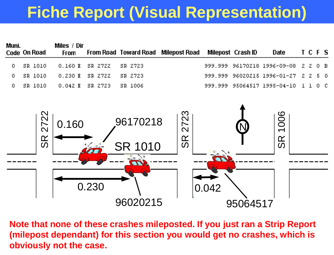# **Fiche Report (Visual Representation)**

| Muni.  | Code On Road          | Miles / Dir<br><b>From</b> |         | <b>From Road Toward Road</b>           | <b>Milepost Road</b>                                                                                                                                   |         | Milepost Crash ID | <b>Date</b>                     |    |             | TCFS           |     |
|--------|-----------------------|----------------------------|---------|----------------------------------------|--------------------------------------------------------------------------------------------------------------------------------------------------------|---------|-------------------|---------------------------------|----|-------------|----------------|-----|
| 0.     | SR 1010               | 0.160E                     | SR 2722 | SR 2723                                |                                                                                                                                                        | 999.999 |                   | 96170218 1996-09-08             | 7. | -7          | Ū.             | - B |
| 0      | SR 1010               | 0.230 E                    | SR 2722 | SR 2723                                |                                                                                                                                                        | 999.999 |                   | 96020215 1996-01-27             | 7  | - 2         | 5              | - 0 |
| $\Box$ | <b>SR 1010</b>        | 0.042 E                    | SR 2723 | <b>SR 1006</b>                         |                                                                                                                                                        |         |                   | 999.999 95064517 1995-04-10     |    | $1 \quad 1$ | 0 <sub>0</sub> |     |
|        | 2722<br>$\frac{R}{S}$ | 0.160                      | 0.230   | 96170218<br><b>SR 1010</b><br>96020215 | 2723<br>$\frac{\infty}{\infty}$                                                                                                                        | 0.042   | 95064517          | 1006<br>$\frac{\infty}{\infty}$ |    |             |                |     |
|        |                       | obviously not the case.    |         |                                        | Note that none of these crashes mileposted. If you just ran a Strip Report<br>(milepost dependant) for this section you would get no crashes, which is |         |                   |                                 |    |             |                |     |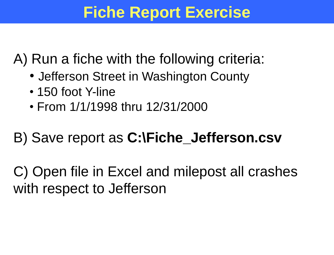## **Fiche Report Exercise**

A) Run a fiche with the following criteria:

- Jefferson Street in Washington County
- 150 foot Y-line
- From 1/1/1998 thru 12/31/2000

B) Save report as **C:\Fiche\_Jefferson.csv**

C) Open file in Excel and milepost all crashes with respect to Jefferson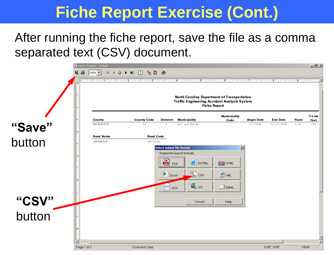After running the fiche report, save the file as a comma separated text (CSV) document.

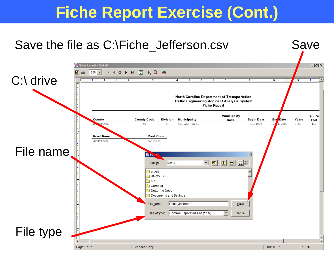Save

#### Save the file as C:\Fiche\_Jefferson.csv

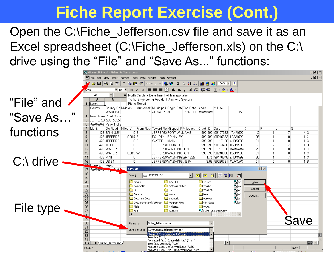Open the C:\Fiche\_Jefferson.csv file and save it as an Excel spreadsheet (C:\Fiche\_Jefferson.xls) on the C:\ drive using the "File" and "Save As..." functions:

 $|B| \times$  $\bf{X}$  Microsoft Excel - Fiche - 1efferson.cs  $-10 \times$ File Edit View Insert Format Tools Data Window Help Acrobat Pre≄ FilaSinStil **电离♂ ∞ - ∞ - | 鬼客 | ∑ 龙头别 || || ● あ || 100% F || ②** 某 Arial  $-10$  $\mathbf{U}$ │≣ ≣ ≣ 国│\$ % , 1% .%│ ∉ ∉│ - ◇ - ▲ - $\mathbf{B}$ A1 North Carolina Department of Transportation Traffic Engineering Accident Analysis System "File" and A  $\overline{B}$ 1 North **Fiche Report** 2 County TCounty ColDivision. ∐Municipalit Municipali ∣Begin DateEnd Date ∐Years Y-Line **WASHING** 93 1 All and Rural 3 150 "Save As…" Road Nam Road Code 4 JEFFERS 50015355  $\mathsf{R}$ ######## Page 1 of 2 Muni On Road Miles / From Road Toward Ro Milepost R Milepost Crash ID Date Ċ E S functions Ε 428 BRINKLEY  $0S$ **JEFFERS(FORT WILLIAMS** 999.999 99127363 7/4/1999  $\overline{2}$  $\overline{7}$  $40<sub>0</sub>$ 9 428 JEFFERS  $0.019$  S FOURTH BRINKLEY 999.999 99245653 12/6/1999 25  $\overline{0}$  $1C$  $10$ 428 JEFFERS  $0S$ WATER MAIN 999.999 1E+08 4/10/2000 31  $\Omega$  $1<sub>0</sub>$ 999.999 98193406 10/8/1998  $11$ 428 THIRD  $\Box$ **JEFFERS(FOURTH** 31 7  $1 \vert R$  $12$ 428 WATER  $\begin{array}{c} 0 \end{array}$ JEFFERS(WASHINGTON 999.999 1E+08 ######## 29  $\Omega$  $1<sub>0</sub>$  $13$ 428 WATER  $0.019$  W **JEFFERS WASHINGTON** 31  $\Omega$  $1<sub>0</sub>$ 999 999 98240038 12/8/1998  $14$ 428 MAIN  $\Omega$ UEFFERS(WASHING SR 1325 1.75 99176848 9/13/1999 30  $\overline{7}$  $1|0$ C:\ drive 15 428 US 64  $\Box$ JEFFERS(WASHINGUS 64 3.06 99236731 ######## 21  $1B$  $\Omega$ <u>egend:</u> Muni. Save As  $|?|X|$  $17<sup>2</sup>$ **HHHHHmm** 18 Save in:  $SYSTEM(C)$  $\vert \cdot \vert$ 园 19  $\Sigma_{\rm loc}$  $\overline{20}$ **MEDIAN INSIGHT**  $\Box$  source arcais Save 21 BARCODE IXOS-ARCHIVE **TEAAS** Salsa Cancel  $\overline{22}$ े<br>Din **Ca**llw **TEAASErr** Salsri  $\overline{23}$ Compaq **Extemp O**oracle Options... 24 DeLorme Docs plotwork whroker 25 Documents and Settings **Program Files** win32app s) usl File type 26  $\Box$  filelib Python21 **ON WINNT**  $\overline{27}$ help SalFiche\_Jefferson.csv Reports  $\overline{\blacksquare}$  $\overline{28}$  $\vert \vert$ Save $29$ 30 Fiche\_Jefferson.csv File name: 31 CSV (Comma delimited) (\*.csv) Save as type: 32 Microsoft Excel Workbook (\*.xls) 33 Template (\*.xlt)  $\overline{34}$ Formatted Text (Space delimited) (\*.prn) **IC CONTRACTED** IN Fiche\_Jefferson ∣⊀ Text (Tab delimited) (\*.txt) Microsoft Excel 5.0/95 Workbook (\*.xls) Ready **NUM** Microsoft Excel 97 & 5.0/95 Workbook (\*.xls)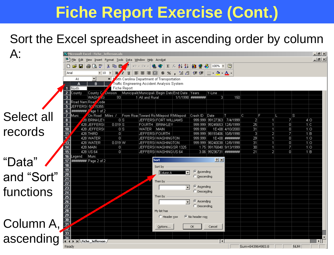#### Sort the Excel spreadsheet in ascending order by column

|            |                                                  | $\mathbf X$ Microsoft Excel - Fiche   Jefferson.xls                                                                                                                                                                                                                                                                                                                                                                                                                        |                                                                  |                                                                          |                         |                          |                                                                                                                                      |                            |                        |                 |                                |                     |                         | $- B  \times  $    |
|------------|--------------------------------------------------|----------------------------------------------------------------------------------------------------------------------------------------------------------------------------------------------------------------------------------------------------------------------------------------------------------------------------------------------------------------------------------------------------------------------------------------------------------------------------|------------------------------------------------------------------|--------------------------------------------------------------------------|-------------------------|--------------------------|--------------------------------------------------------------------------------------------------------------------------------------|----------------------------|------------------------|-----------------|--------------------------------|---------------------|-------------------------|--------------------|
|            |                                                  |                                                                                                                                                                                                                                                                                                                                                                                                                                                                            | Eile Edit View Insert Format Tools Data Window Help Acrobat      |                                                                          |                         |                          |                                                                                                                                      |                            |                        |                 |                                |                     |                         | $\Box$ el $\times$ |
|            |                                                  | D & H & Q V                                                                                                                                                                                                                                                                                                                                                                                                                                                                | ¥.<br>电度                                                         | $\mathbb{E}[\mathbb{I}]\ \ \forall\quad \mathbb{C}\mathbb{M}\ \ \forall$ | ❤│                      |                          | $\Sigma$ $f_*$ $\frac{1}{2}$ $\frac{2}{4}$ $\frac{1}{10}$ $\frac{1}{2}$ $\frac{1}{2}$ $\frac{1}{100\%}$ $\frac{1}{10}$ $\frac{1}{2}$ |                            |                        |                 |                                |                     |                         |                    |
|            | Arial                                            | $-10$                                                                                                                                                                                                                                                                                                                                                                                                                                                                      | $\blacktriangledown$<br>Z<br>$\mathbf{E}$<br>$\mathbf{U}$        |                                                                          | 圉                       |                          | \$ % , 18:28 年年 图 · ③ · A ·                                                                                                          |                            |                        |                 |                                |                     |                         |                    |
|            | A1                                               |                                                                                                                                                                                                                                                                                                                                                                                                                                                                            | orth Carolina Department of Transportation<br>$=$ $\overline{ }$ |                                                                          |                         |                          |                                                                                                                                      |                            |                        |                 |                                |                     |                         |                    |
|            | А                                                | B                                                                                                                                                                                                                                                                                                                                                                                                                                                                          | Traffic Engineering Accident Analysis System<br>Fiche Report     |                                                                          |                         |                          |                                                                                                                                      |                            |                        |                 |                                |                     |                         |                    |
|            | 1 North<br>$\overline{2}$<br> County             | $ $ County $Q'$                                                                                                                                                                                                                                                                                                                                                                                                                                                            | <b>Oivision</b>                                                  | Municipalit Municipali Begin Date End Date                               |                         |                          | Years                                                                                                                                | Y-Line                     |                        |                 |                                |                     |                         |                    |
|            | $\mathbf{3}$                                     | WASH <sup>7</sup> 4G                                                                                                                                                                                                                                                                                                                                                                                                                                                       | 93                                                               | 1 All and Rural                                                          |                         |                          | 1/1/1998 ########                                                                                                                    | 3                          | 150                    |                 |                                |                     |                         |                    |
|            | $\overline{4}$                                   | Road Nam Roar Code                                                                                                                                                                                                                                                                                                                                                                                                                                                         |                                                                  |                                                                          |                         |                          |                                                                                                                                      |                            |                        |                 |                                |                     |                         |                    |
|            | $\overline{5}$<br><del>//////////////</del><br>6 | $\sqrt{45355}$<br>JEFFERS(5P                                                                                                                                                                                                                                                                                                                                                                                                                                               |                                                                  |                                                                          |                         |                          |                                                                                                                                      |                            |                        |                 |                                |                     |                         |                    |
| Select all | $\overline{\mathcal{L}}$<br>∥Muni.               | Age 1 of 2<br>On Road Miles /                                                                                                                                                                                                                                                                                                                                                                                                                                              |                                                                  | From Road Toward Ro Milepost R Milepost                                  |                         |                          | Crash ID                                                                                                                             | $\Box$ Date                |                        | C.              | F                              |                     | IS.                     |                    |
|            | $\overline{\mathbf{8}}$                          | <b>28 BRINKLEY</b>                                                                                                                                                                                                                                                                                                                                                                                                                                                         | 0 S                                                              |                                                                          | JEFFERS(FORT WILLIAMS   |                          |                                                                                                                                      | 999.999 99127363 7/4/1999  |                        | 2               | 1                              | 71                  | 4 0                     |                    |
|            | $\overline{9}$                                   | 428 JEFFERS                                                                                                                                                                                                                                                                                                                                                                                                                                                                | $0.019$ S                                                        |                                                                          | FOURTH  BRINKLEY        |                          |                                                                                                                                      | 999.999 99245653 12/6/1999 |                        | $\overline{25}$ | $\overline{1}$                 | 0                   | 1C                      |                    |
| records    | $\overline{10}$                                  | 428 JEFFERS                                                                                                                                                                                                                                                                                                                                                                                                                                                                | $\overline{0 S}$                                                 | WATER                                                                    | MAIN                    |                          | 999.999                                                                                                                              |                            | 1E+08 4/10/2000        | $\overline{31}$ | $\overline{1}$                 | $\overline{0}$      | 1 <sub>0</sub>          |                    |
|            | 11.                                              | 428 THIRD<br>428 WATER                                                                                                                                                                                                                                                                                                                                                                                                                                                     | 0 <br> 0                                                         | JEFFERS(FOURTH                                                           | JEFFERS(WASHINGTON      |                          | 999.999                                                                                                                              | 999.999 98193406 10/8/1998 | 1E+08  <i>########</i> | 3<br>29         | $\overline{2}$<br>$\mathbf{1}$ | 7<br>$\overline{0}$ | 1 B<br>$1$ <sub>O</sub> |                    |
|            | $\sqrt{3}$                                       | 428 WATER                                                                                                                                                                                                                                                                                                                                                                                                                                                                  | $0.019$ W                                                        |                                                                          | JEFFERS(WASHINGTON      |                          |                                                                                                                                      |                            |                        | $\overline{31}$ | $\overline{1}$                 | $\overline{0}$      | 1 <sub>0</sub>          |                    |
|            | $\overline{14}$                                  | 428 MAIN                                                                                                                                                                                                                                                                                                                                                                                                                                                                   | 0                                                                |                                                                          | JEFFERS(WASHING SR 1325 |                          |                                                                                                                                      | 1.75 99176848 9/13/1999    |                        | 30 <sub>1</sub> | $\overline{1}$                 | 7                   | 1 0                     |                    |
|            | $\overline{15}$                                  | 428 US 64                                                                                                                                                                                                                                                                                                                                                                                                                                                                  | 0                                                                |                                                                          | JEFFERS(WASHINGUS 64    |                          |                                                                                                                                      | 3.06 99236731 #########    |                        | 21              | 21                             | $\cup$              | 1 B                     |                    |
|            | 16 Legend: Muni.<br>17                           | ######## Page 2 of 2                                                                                                                                                                                                                                                                                                                                                                                                                                                       |                                                                  |                                                                          | Sort                    |                          |                                                                                                                                      | 2 X                        |                        |                 |                                |                     |                         |                    |
| "Data"     | 18                                               | $\begin{array}{r}\n\hline\n18 \\ 19 \\ 20 \\ 21 \\ \hline\n\end{array}\n\quad\n\begin{array}{r}\n\text{10} \\ \text{21} \\ \text{22} \\ \text{23} \\ \text{24} \\ \text{25} \\ \text{26} \\ \text{27} \\ \text{28} \\ \text{29} \\ \hline\n\end{array}\n\quad\n\begin{array}{r}\n\hline\n\end{array}\n\quad\n\begin{array}{r}\n\hline\n\end{array}\n\quad\n\begin{array}{r}\n\hline\n\end{array}\n\quad\n\begin{array}{r}\n\hline\n\end{array}\n\quad\n\begin{array}{r}\n$ |                                                                  |                                                                          | Sort by                 |                          |                                                                                                                                      |                            |                        |                 |                                |                     |                         |                    |
|            |                                                  |                                                                                                                                                                                                                                                                                                                                                                                                                                                                            |                                                                  |                                                                          | <b>Column A</b>         |                          | C Ascending                                                                                                                          |                            |                        |                 |                                |                     |                         |                    |
| and "Sort" |                                                  |                                                                                                                                                                                                                                                                                                                                                                                                                                                                            |                                                                  |                                                                          |                         |                          | $\heartsuit$ Descending                                                                                                              |                            |                        |                 |                                |                     |                         |                    |
|            |                                                  |                                                                                                                                                                                                                                                                                                                                                                                                                                                                            |                                                                  |                                                                          | Then by                 |                          |                                                                                                                                      |                            |                        |                 |                                |                     |                         |                    |
| functions  |                                                  |                                                                                                                                                                                                                                                                                                                                                                                                                                                                            |                                                                  |                                                                          |                         | $\overline{\phantom{a}}$ | C Ascending                                                                                                                          |                            |                        |                 |                                |                     |                         |                    |
|            |                                                  |                                                                                                                                                                                                                                                                                                                                                                                                                                                                            |                                                                  |                                                                          | Then by                 |                          | C Descending                                                                                                                         |                            |                        |                 |                                |                     |                         |                    |
|            |                                                  |                                                                                                                                                                                                                                                                                                                                                                                                                                                                            |                                                                  |                                                                          |                         | $\blacktriangledown$     | $\epsilon$<br>Ascending                                                                                                              |                            |                        |                 |                                |                     |                         |                    |
|            |                                                  |                                                                                                                                                                                                                                                                                                                                                                                                                                                                            |                                                                  |                                                                          |                         |                          | $\degree$ Descending                                                                                                                 |                            |                        |                 |                                |                     |                         |                    |
|            |                                                  |                                                                                                                                                                                                                                                                                                                                                                                                                                                                            |                                                                  |                                                                          | My list has             |                          |                                                                                                                                      |                            |                        |                 |                                |                     |                         |                    |
|            |                                                  |                                                                                                                                                                                                                                                                                                                                                                                                                                                                            |                                                                  |                                                                          | C Header row            |                          | ● No header row                                                                                                                      |                            |                        |                 |                                |                     |                         |                    |
| Column A,  |                                                  |                                                                                                                                                                                                                                                                                                                                                                                                                                                                            |                                                                  |                                                                          |                         |                          |                                                                                                                                      |                            |                        |                 |                                |                     |                         |                    |
|            |                                                  |                                                                                                                                                                                                                                                                                                                                                                                                                                                                            |                                                                  |                                                                          | Options                 |                          | OK                                                                                                                                   | Cancel                     |                        |                 |                                |                     |                         |                    |
|            |                                                  |                                                                                                                                                                                                                                                                                                                                                                                                                                                                            |                                                                  |                                                                          |                         |                          |                                                                                                                                      |                            |                        |                 |                                |                     |                         |                    |
| ascending  |                                                  |                                                                                                                                                                                                                                                                                                                                                                                                                                                                            |                                                                  |                                                                          |                         |                          |                                                                                                                                      | ▎◂                         |                        |                 |                                |                     |                         |                    |
|            | Readv                                            |                                                                                                                                                                                                                                                                                                                                                                                                                                                                            |                                                                  |                                                                          |                         |                          |                                                                                                                                      |                            |                        | Sum=843964983.8 |                                |                     | <b>INUM</b>             |                    |
|            |                                                  |                                                                                                                                                                                                                                                                                                                                                                                                                                                                            |                                                                  |                                                                          |                         |                          |                                                                                                                                      |                            |                        |                 |                                |                     |                         |                    |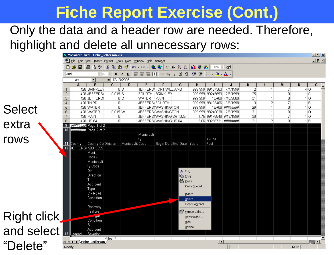#### Only the data and a header row are needed. Therefore, highlight and delete all unnecessary rows:

|               |                |            | <b>X Microsoft Excel - Fiche_Jefferson.xls</b>                                                      |                           |                  |                                                                 |                                                      |                           | ◢                            |                                               |                         |                |                              |                          |                | $-1$ $-1$ $\times$ |
|---------------|----------------|------------|-----------------------------------------------------------------------------------------------------|---------------------------|------------------|-----------------------------------------------------------------|------------------------------------------------------|---------------------------|------------------------------|-----------------------------------------------|-------------------------|----------------|------------------------------|--------------------------|----------------|--------------------|
|               |                |            |                                                                                                     |                           |                  |                                                                 |                                                      |                           |                              |                                               |                         |                |                              |                          |                |                    |
|               |                |            | <sup>88</sup> File Edit View Insert F <u>o</u> rmat Tools Data Window Help Acro <u>b</u> at         |                           |                  |                                                                 |                                                      |                           |                              |                                               |                         |                |                              |                          |                | 그리지                |
|               |                |            | D <del>G</del> B B & \ X & & <del>Q</del> √ r · r ·   & ← z ≠ ł ł   <mark>A ♥</mark> β   100% ·   2 |                           |                  |                                                                 |                                                      |                           |                              |                                               |                         |                |                              |                          |                |                    |
|               | Arial          |            | $-10$                                                                                               | - 9                       |                  | B I U   h h h h h h h h h h h b k , 13 . 23   健 健   H · ◇ · A · |                                                      |                           |                              |                                               |                         |                |                              |                          |                |                    |
|               |                | А9         | ▾                                                                                                   | $= 12/13/2006$            |                  |                                                                 |                                                      |                           |                              |                                               |                         |                |                              |                          |                |                    |
|               |                | Α          | B                                                                                                   | C.                        | D                | E                                                               | F.                                                   | G                         | H.                           |                                               |                         | ĸ              |                              | M                        | N              | $\overline{0}$     |
|               |                |            | 428 BRINKLEY                                                                                        |                           | 0S               |                                                                 | JEFFERS(FORT WILLIAMS                                |                           |                              | 999.999 99127363 7/4/1999                     |                         | $\overline{2}$ | 1 <sup>1</sup>               | 7                        |                | 4 0                |
|               | $\overline{2}$ |            | 428 JEFFERS                                                                                         | $0.019$ S                 |                  |                                                                 | FOURTH BRINKLEY                                      |                           |                              | 999.999 99245653 12/6/1999                    |                         | 25             | $\mathbf{1}$                 | $\overline{0}$           | 1C             |                    |
|               | 3              |            | 428 JEFFERS                                                                                         |                           | -ols             | WATER.                                                          | <b>IMAIN</b>                                         |                           | 999.999                      |                                               | 1E+08 4/10/2000         | 31             | $\mathbf{1}$                 | $\Box$                   | 1 <sub>0</sub> |                    |
|               | $\overline{4}$ |            | 428 THIRD                                                                                           | ΠI                        |                  | JEFFERS(FOURTH                                                  |                                                      |                           | 999.999                      |                                               | 98193406 10/8/1998      | 3              | 2                            | 7                        | 1 B            |                    |
| <b>Select</b> | 5              |            | 428 WATER                                                                                           | οl                        |                  |                                                                 | JEFFERS (WASHINGTON                                  |                           | 999.999                      |                                               | 1E+08 ########          | 29<br>31       | $\mathbf{1}$<br>$\mathbf{1}$ | $\overline{0}$<br>$\Box$ |                | 1 0                |
|               | 6              |            | 428 WATER<br>428 MAIN                                                                               | $0.019 \, \text{W}$<br>n. |                  |                                                                 | <b>JEFFERS(WASHINGTON</b><br>JEFFERS(WASHING SR 1325 |                           | 999.999                      | 98240038 12/8/1998<br>1.75 99176848 9/13/1999 |                         | 30             | 1                            | 7                        |                | 110<br>$1$  O      |
|               | 8              |            | 428 US 64                                                                                           | $\Omega$                  |                  |                                                                 | JEFFERS (WASHING US 64                               |                           |                              |                                               | 3.06 99236731 ######### | 21             | $\overline{2}$               | $\vert 0 \vert$          | 1 B            |                    |
| extra         | 9              |            |                                                                                                     |                           |                  |                                                                 |                                                      |                           |                              |                                               |                         |                |                              |                          |                |                    |
|               |                |            | 10 ######### Page 2 of 2                                                                            |                           |                  |                                                                 |                                                      |                           |                              |                                               |                         |                |                              |                          |                |                    |
|               |                |            |                                                                                                     |                           |                  | Municipali                                                      |                                                      |                           |                              |                                               |                         |                |                              |                          |                |                    |
| rows          |                |            |                                                                                                     |                           |                  | tγ                                                              |                                                      |                           |                              | Y-Line                                        |                         |                |                              |                          |                |                    |
|               |                |            | 11 County County Co Division                                                                        |                           | Municipalit Code |                                                                 |                                                      | Begin Date End Date Years |                              | Feet                                          |                         |                |                              |                          |                |                    |
|               |                |            | 12 JEFFERS 50015355                                                                                 |                           |                  |                                                                 |                                                      |                           |                              |                                               |                         |                |                              |                          |                |                    |
|               |                |            | Muni.                                                                                               |                           |                  |                                                                 |                                                      |                           |                              |                                               |                         |                |                              |                          |                |                    |
|               |                |            | Code -                                                                                              |                           |                  |                                                                 |                                                      |                           |                              |                                               |                         |                |                              |                          |                |                    |
|               |                |            | Municipali<br>ty Code                                                                               |                           |                  |                                                                 |                                                      |                           |                              |                                               |                         |                |                              |                          |                |                    |
|               |                |            | Dir -                                                                                               |                           |                  |                                                                 |                                                      | & Cut                     |                              |                                               |                         |                |                              |                          |                |                    |
|               |                |            | Direction                                                                                           |                           |                  |                                                                 |                                                      | <b>亀</b> ⊆opy             |                              |                                               |                         |                |                              |                          |                |                    |
|               |                |            | $T -$                                                                                               |                           |                  |                                                                 |                                                      | <b>龟</b> Paste            |                              |                                               |                         |                |                              |                          |                |                    |
|               |                |            | Accident                                                                                            |                           |                  |                                                                 |                                                      |                           |                              |                                               |                         |                |                              |                          |                |                    |
|               |                |            | Type                                                                                                |                           |                  |                                                                 |                                                      |                           | Paste Special                |                                               |                         |                |                              |                          |                |                    |
|               |                |            | C - Road                                                                                            |                           |                  |                                                                 |                                                      |                           | Insert                       |                                               |                         |                |                              |                          |                |                    |
|               |                |            | Condition                                                                                           |                           |                  |                                                                 |                                                      |                           | <b>Delete</b>                |                                               |                         |                |                              |                          |                |                    |
|               |                |            | $F -$                                                                                               |                           |                  |                                                                 |                                                      |                           | Clear Contents               |                                               |                         |                |                              |                          |                |                    |
|               |                |            | Roadway                                                                                             |                           |                  |                                                                 |                                                      |                           |                              |                                               |                         |                |                              |                          |                |                    |
|               |                |            | Feature                                                                                             |                           |                  |                                                                 |                                                      |                           | िं <sup>1</sup> Format Cells |                                               |                         |                |                              |                          |                |                    |
| Right click   |                |            | <b>Lightle</b><br>Condition                                                                         |                           |                  |                                                                 |                                                      |                           | Row Height                   |                                               |                         |                |                              |                          |                |                    |
|               |                |            | ls -                                                                                                |                           |                  |                                                                 |                                                      | Hide                      |                              |                                               |                         |                |                              |                          |                |                    |
| and select    |                |            | Accident                                                                                            |                           |                  |                                                                 |                                                      |                           | Unhide                       |                                               |                         |                |                              |                          |                |                    |
|               |                | 13 Legend: | Severity                                                                                            |                           |                  |                                                                 |                                                      |                           |                              |                                               |                         |                |                              |                          |                |                    |
|               |                |            |                                                                                                     | Miles /                   |                  |                                                                 |                                                      |                           |                              |                                               |                         |                |                              |                          |                |                    |
| "Delete"      |                |            | $  \mathbf{4}  \mathbf{b}  $ Fiche_Jefferson                                                        |                           |                  |                                                                 |                                                      |                           |                              | $\vert \cdot \vert$                           |                         |                |                              |                          |                | ΣΓ                 |
|               | Ready          |            |                                                                                                     |                           |                  |                                                                 |                                                      |                           |                              |                                               |                         |                |                              |                          | <b>NUM</b>     |                    |
|               |                |            |                                                                                                     |                           |                  |                                                                 |                                                      |                           |                              |                                               |                         |                |                              |                          |                |                    |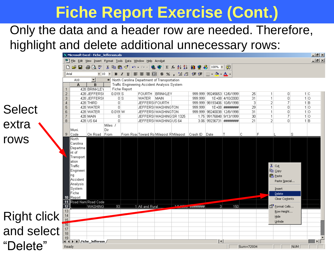# Only the data and a header row are needed. Therefore,

#### highlight and delete additional unnecessary rows:

|               |                 | X Microsoft Excel - Fiche_Jefferson.xls                                     |                                              |                     |                     |                                                                                             |             |         |         |     |                              |           |                                  |                  |            | 上回凶                   |
|---------------|-----------------|-----------------------------------------------------------------------------|----------------------------------------------|---------------------|---------------------|---------------------------------------------------------------------------------------------|-------------|---------|---------|-----|------------------------------|-----------|----------------------------------|------------------|------------|-----------------------|
|               |                 |                                                                             |                                              |                     |                     | <sup>88</sup> File Edit View Insert F <u>o</u> rmat Tools Data Window Help Acro <u>b</u> at |             |         |         |     |                              |           |                                  |                  |            | <b>LIEIXI</b>         |
|               | n               | $\mathcal{C} = \mathcal{C} \setminus \mathcal{C}$                           |                                              |                     |                     | * h B ダ   い - ○ -   9 ♥   ∑ た <del>2</del>   X           望 40    100% F    仅                |             |         |         |     |                              |           |                                  |                  |            |                       |
|               | Arial           |                                                                             | $\blacktriangledown$ 10 $\blacktriangledown$ |                     |                     | B J U   事 章 章 圉  \$ % , 協 . ?   健 律   ⊞ • ◇ • △ •                                           |             |         |         |     |                              |           |                                  |                  |            |                       |
|               |                 | A10                                                                         | ▾                                            |                     |                     | - North Carolina Department of Transportation                                               |             |         |         |     |                              |           |                                  |                  |            |                       |
|               |                 | A                                                                           | B                                            |                     |                     | Traffic Engineering Accident Analysis System                                                |             |         |         |     |                              |           |                                  |                  |            |                       |
|               | 2               |                                                                             | 428 BRINKLEY<br>428 JEFFERS(                 | $0.019$ S           | <b>Fiche Report</b> | FOURTH BRINKLEY                                                                             |             |         |         |     | 999.999 99245653 12/6/1999   | 25        |                                  | 0                |            | 1C                    |
|               | 3               |                                                                             | 428 JEFFERS                                  | 0 S                 |                     | WATER                                                                                       | <b>MAIN</b> |         | 999.999 |     | 1E+08 4/10/2000              | 31        | $\mathbf{1}$                     | 0                |            | 1 <sub>0</sub>        |
|               | 4               |                                                                             | 428 THIRD                                    | $\overline{0}$      |                     | JEFFERS(FOURTH                                                                              |             |         |         |     | 999.999  98193406  10/8/1998 | 3         | $\overline{2}$                   | 7                |            | $1 \vert B$           |
| <b>Select</b> | 5               |                                                                             | 428 WATER                                    | $\Omega$            |                     | <b>JEFFERS(WASHINGTON</b>                                                                   |             |         | 999.999 |     |                              | 29        | $\overline{1}$                   | 0                |            | 1 <sup>o</sup>        |
|               | 6               |                                                                             | 428 WATER                                    | $0.019 \, \text{W}$ |                     | JEFFERS(WASHINGTON                                                                          |             |         |         |     | 999.999 98240038 12/8/1998   | 31        | $\mathbf{1}$                     | 0                |            | 10                    |
|               | 8               |                                                                             | 428 MAIN<br>428 US 64                        | 0<br> 0             |                     | UEFFERS(WASHING SR 1325                                                                     |             |         |         |     | 1.75 99176848 9/13/1999      | 30<br>21  | $\overline{1}$<br>$\overline{2}$ | 7<br>0           |            | 1 <sup>0</sup><br>1 B |
| extra         |                 |                                                                             |                                              | Miles /             |                     | JEFFERS(WASHINGUS 64                                                                        |             |         |         |     | 3.06 99236731 ########       |           |                                  |                  |            |                       |
|               |                 | Muni.                                                                       |                                              | Dir                 |                     |                                                                                             |             |         |         |     |                              |           |                                  |                  |            |                       |
|               | 9               | Code                                                                        | On Road From                                 |                     |                     | From RoadToward Ro Milepost R Milepost Crash ID Date                                        |             |         |         |     |                              | ГC        | F                                |                  | s          |                       |
| rows          |                 | North                                                                       |                                              |                     |                     |                                                                                             |             |         |         |     |                              |           |                                  |                  |            |                       |
|               |                 | Carolina                                                                    |                                              |                     |                     |                                                                                             |             |         |         |     |                              |           |                                  |                  |            |                       |
|               |                 | Departme  <br>nt of                                                         |                                              |                     |                     |                                                                                             |             |         |         |     |                              |           |                                  |                  |            |                       |
|               |                 | Transport                                                                   |                                              |                     |                     |                                                                                             |             |         |         |     |                              |           |                                  |                  |            |                       |
|               |                 | ation                                                                       |                                              |                     |                     |                                                                                             |             |         |         |     |                              |           |                                  |                  |            |                       |
|               |                 | Traffic                                                                     |                                              |                     |                     |                                                                                             |             |         |         |     |                              |           |                                  | y‱ cuṯ           |            |                       |
|               |                 | Engineeri                                                                   |                                              |                     |                     |                                                                                             |             |         |         |     |                              |           |                                  | la Copy          |            |                       |
|               |                 | ng                                                                          |                                              |                     |                     |                                                                                             |             |         |         |     |                              |           |                                  | <b>亀</b> Paste   |            |                       |
|               |                 | Accident                                                                    |                                              |                     |                     |                                                                                             |             |         |         |     |                              |           |                                  | Paste Special    |            |                       |
|               |                 | Analysis<br>System                                                          |                                              |                     |                     |                                                                                             |             |         |         |     |                              |           |                                  |                  |            |                       |
|               |                 | Fiche                                                                       |                                              |                     |                     |                                                                                             |             |         |         |     |                              |           |                                  | Insert<br>Delete |            |                       |
|               | 10              | Report                                                                      |                                              |                     |                     |                                                                                             |             |         |         |     |                              |           |                                  | Clear Contents   |            |                       |
|               | 11              |                                                                             | Road Nam Road Code                           |                     |                     |                                                                                             |             |         |         |     |                              |           |                                  |                  |            |                       |
|               | $\overline{12}$ |                                                                             | <b>WASHING</b>                               | 93                  |                     | 1 All and Rural                                                                             |             | 4.14.24 |         | 3   | 150                          |           |                                  | Format Cells     |            |                       |
|               | 13              |                                                                             |                                              |                     |                     |                                                                                             |             |         |         |     |                              |           |                                  | Row Height       |            |                       |
| Right click   | $\frac{14}{15}$ |                                                                             |                                              |                     |                     |                                                                                             |             |         |         |     |                              |           |                                  | Hide             |            |                       |
|               | $\sqrt{16}$     |                                                                             |                                              |                     |                     |                                                                                             |             |         |         |     |                              |           |                                  | Unhide           |            |                       |
|               | 17              |                                                                             |                                              |                     |                     |                                                                                             |             |         |         |     |                              |           |                                  |                  |            |                       |
| and select    | $\overline{18}$ |                                                                             |                                              |                     |                     |                                                                                             |             |         |         |     |                              |           |                                  |                  |            |                       |
|               | 19              |                                                                             |                                              |                     |                     |                                                                                             |             |         |         |     |                              |           |                                  |                  |            |                       |
| "Delete"      |                 | $\vert$ < $\vert$ + $\vert$ + $\vert$ + $\vert$ + $\vert$ Fiche_Jefferson / |                                              |                     |                     |                                                                                             |             |         |         | ∏⊀∣ |                              |           |                                  |                  | <b>NUM</b> |                       |
|               | Ready           |                                                                             |                                              |                     |                     |                                                                                             |             |         |         |     |                              | Sum=72934 |                                  |                  |            |                       |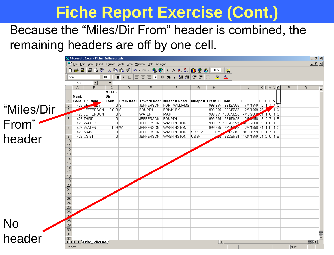#### Because the "Miles/Dir From" header is combined, the remaining headers are off by one cell.

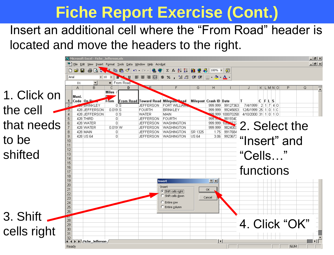#### Insert an additional cell where the "From Road" header is located and move the headers to the right.

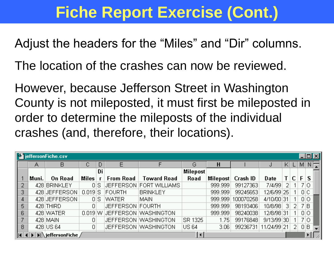Adjust the headers for the "Miles" and "Dir" columns.

The location of the crashes can now be reviewed.

However, because Jefferson Street in Washington County is not mileposted, it must first be mileposted in order to determine the mileposts of the individual crashes (and, therefore, their locations).

|                | <b>StilleffersonFiche.csv</b> |                                                       |           |      |                  |                              |                     |          |           |             |    |    |     | <u>니미지</u>  |  |
|----------------|-------------------------------|-------------------------------------------------------|-----------|------|------------------|------------------------------|---------------------|----------|-----------|-------------|----|----|-----|-------------|--|
|                | А                             | В                                                     |           |      |                  | G                            |                     | Н        |           |             | K. |    | МI  | $N\sqrt{2}$ |  |
|                |                               |                                                       |           | Di   |                  |                              | Milepost            |          |           |             |    |    |     |             |  |
|                | Muni.                         | <b>On Road</b>                                        | Miles     |      | <b>From Road</b> | Toward Road                  | <b>Road</b>         | Milepost | Crash ID  | Date        |    | С  | F   | S.          |  |
| 2              |                               | 428 BRINKLEY                                          |           | οIS  |                  | JEFFERSON FORT WILLIAMS      |                     | 999.999  | 99127363  | 7/4/99      | 2  |    |     | 710         |  |
| 3              |                               | 428 JEFFERSON                                         | $0.019$ S |      | FOURTH           | <b>BRINKLEY</b>              |                     | 999.999  | 99245653  | 12/6/99 25  |    |    |     | 0 C         |  |
| 4              |                               | 428 JEFFERSON                                         |           | 0IS. | WATER.           | <b>MAIN</b>                  |                     | 999.999  | 100070258 | 4/10/00 31  |    |    | 0 0 |             |  |
| 5              |                               | 428 THIRD                                             | 0.        |      | JEFFERSON FOURTH |                              |                     | 999.999  | 98193406  | 10/8/98     | 31 | 21 | 7 B |             |  |
| 6              |                               | 428 WATER                                             |           |      |                  | 0.019 W JEFFERSON WASHINGTON |                     | 999.999  | 98240038  | 12/8/98 31  |    |    | 0 0 |             |  |
| $\overline{ }$ |                               | 428 MAIN                                              | 0         |      |                  | JEFFERSON WASHINGTON         | SR 1325             | 1.75     | 99176848  | 9/13/99 30  |    |    |     | 710         |  |
| 8              |                               | 428 US 64                                             |           |      |                  | JEFFERSON WASHINGTON         | <b>US 64</b>        | 3.06     | 99236731  | 11/24/99 21 |    | 21 |     | OВ          |  |
| A              |                               | $\boxed{\blacktriangleright}$ jeffersonFiche $\angle$ |           |      |                  |                              | $\vert \cdot \vert$ |          |           |             |    |    |     |             |  |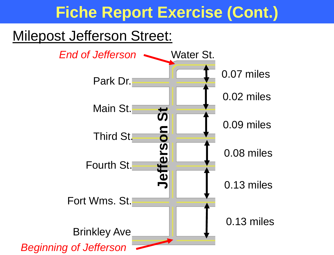#### Milepost Jefferson Street:

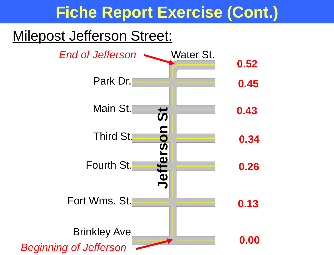#### Milepost Jefferson Street:

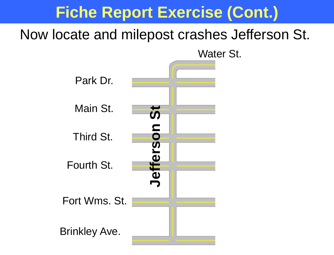#### Now locate and milepost crashes Jefferson St.